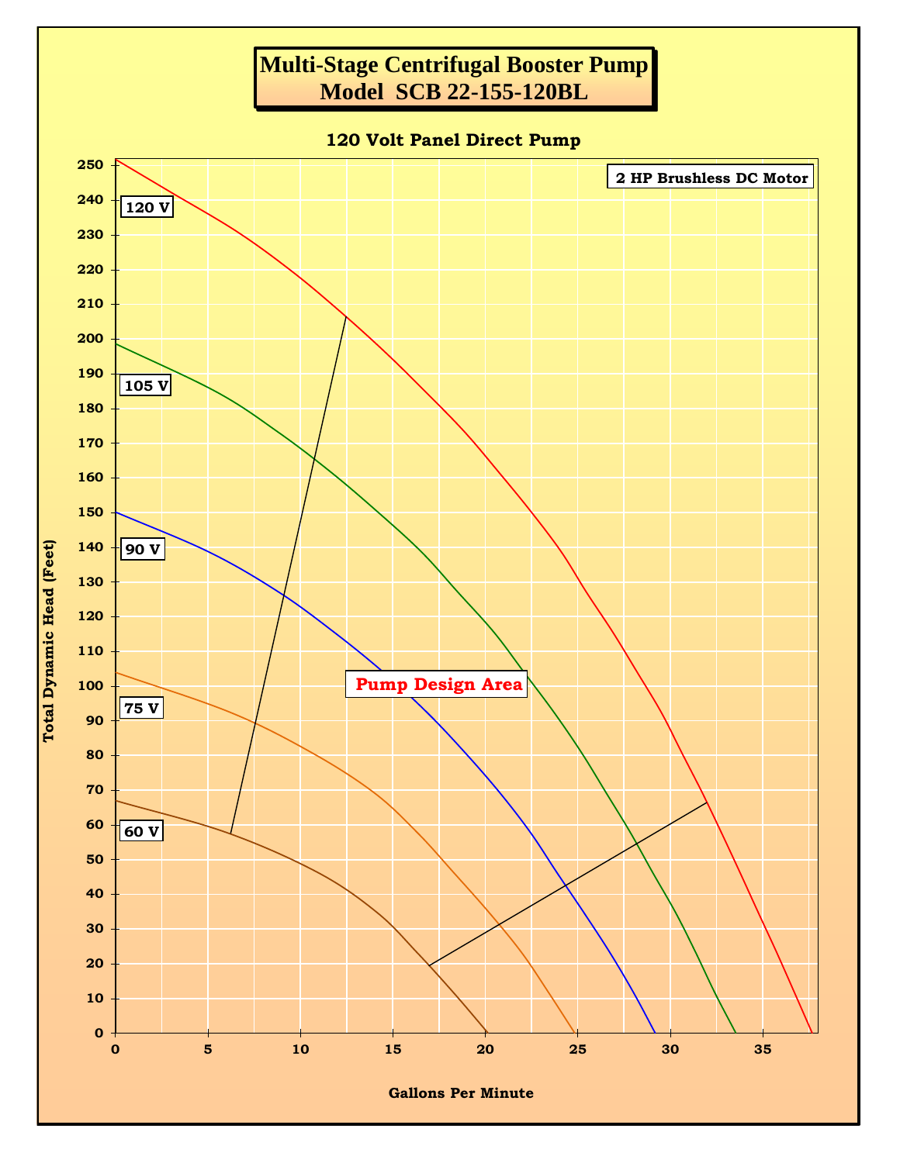